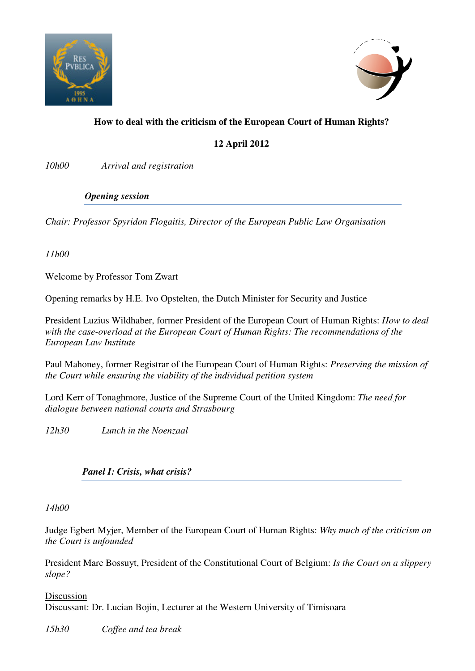



# **How to deal with the criticism of the European Court of Human Rights?**

# **12 April 2012**

*10h00 Arrival and registration* 

### *Opening session*

*Chair: Professor Spyridon Flogaitis, Director of the European Public Law Organisation* 

*11h00* 

Welcome by Professor Tom Zwart

Opening remarks by H.E. Ivo Opstelten, the Dutch Minister for Security and Justice

President Luzius Wildhaber, former President of the European Court of Human Rights: *How to deal with the case-overload at the European Court of Human Rights: The recommendations of the European Law Institute*

Paul Mahoney, former Registrar of the European Court of Human Rights: *Preserving the mission of the Court while ensuring the viability of the individual petition system* 

Lord Kerr of Tonaghmore, Justice of the Supreme Court of the United Kingdom: *The need for dialogue between national courts and Strasbourg*

*12h30 Lunch in the Noenzaal* 

## *Panel I: Crisis, what crisis?*

*14h00* 

Judge Egbert Myjer, Member of the European Court of Human Rights: *Why much of the criticism on the Court is unfounded*

President Marc Bossuyt, President of the Constitutional Court of Belgium: *Is the Court on a slippery slope?*

Discussion Discussant: Dr. Lucian Bojin, Lecturer at the Western University of Timisoara

*15h30 Coffee and tea break*